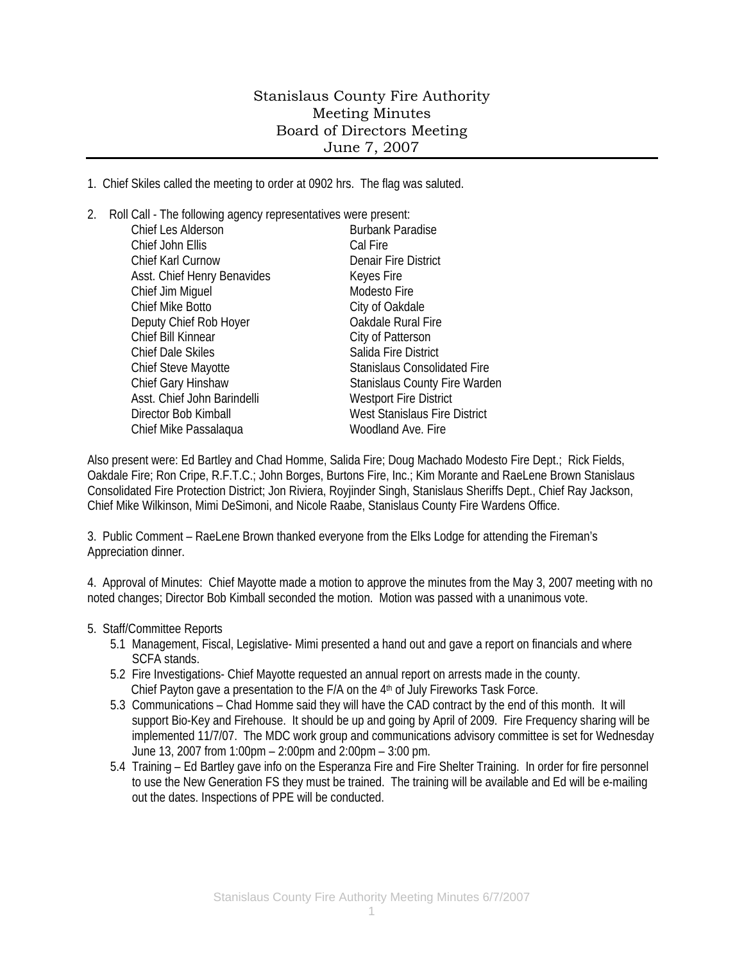## Stanislaus County Fire Authority Meeting Minutes Board of Directors Meeting June 7, 2007

1. Chief Skiles called the meeting to order at 0902 hrs. The flag was saluted.

| 2. | Roll Call - The following agency representatives were present: |                                      |
|----|----------------------------------------------------------------|--------------------------------------|
|    | <b>Chief Les Alderson</b>                                      | <b>Burbank Paradise</b>              |
|    | Chief John Ellis                                               | Cal Fire                             |
|    | Chief Karl Curnow                                              | <b>Denair Fire District</b>          |
|    | Asst. Chief Henry Benavides                                    | Keyes Fire                           |
|    | Chief Jim Miguel                                               | Modesto Fire                         |
|    | <b>Chief Mike Botto</b>                                        | City of Oakdale                      |
|    | Deputy Chief Rob Hoyer                                         | Oakdale Rural Fire                   |
|    | Chief Bill Kinnear                                             | City of Patterson                    |
|    | <b>Chief Dale Skiles</b>                                       | Salida Fire District                 |
|    | Chief Steve Mayotte                                            | <b>Stanislaus Consolidated Fire</b>  |
|    | Chief Gary Hinshaw                                             | <b>Stanislaus County Fire Warden</b> |
|    | Asst. Chief John Barindelli                                    | <b>Westport Fire District</b>        |
|    | Director Bob Kimball                                           | <b>West Stanislaus Fire District</b> |
|    | Chief Mike Passalaqua                                          | Woodland Ave. Fire                   |
|    |                                                                |                                      |

Also present were: Ed Bartley and Chad Homme, Salida Fire; Doug Machado Modesto Fire Dept.; Rick Fields, Oakdale Fire; Ron Cripe, R.F.T.C.; John Borges, Burtons Fire, Inc.; Kim Morante and RaeLene Brown Stanislaus Consolidated Fire Protection District; Jon Riviera, Royjinder Singh, Stanislaus Sheriffs Dept., Chief Ray Jackson, Chief Mike Wilkinson, Mimi DeSimoni, and Nicole Raabe, Stanislaus County Fire Wardens Office.

3. Public Comment – RaeLene Brown thanked everyone from the Elks Lodge for attending the Fireman's Appreciation dinner.

4. Approval of Minutes: Chief Mayotte made a motion to approve the minutes from the May 3, 2007 meeting with no noted changes; Director Bob Kimball seconded the motion. Motion was passed with a unanimous vote.

## 5. Staff/Committee Reports

- 5.1 Management, Fiscal, Legislative- Mimi presented a hand out and gave a report on financials and where SCFA stands.
- 5.2 Fire Investigations- Chief Mayotte requested an annual report on arrests made in the county. Chief Payton gave a presentation to the F/A on the 4th of July Fireworks Task Force.
- 5.3 Communications Chad Homme said they will have the CAD contract by the end of this month. It will support Bio-Key and Firehouse. It should be up and going by April of 2009. Fire Frequency sharing will be implemented 11/7/07. The MDC work group and communications advisory committee is set for Wednesday June 13, 2007 from 1:00pm – 2:00pm and 2:00pm – 3:00 pm.
- 5.4 Training Ed Bartley gave info on the Esperanza Fire and Fire Shelter Training. In order for fire personnel to use the New Generation FS they must be trained. The training will be available and Ed will be e-mailing out the dates. Inspections of PPE will be conducted.

1